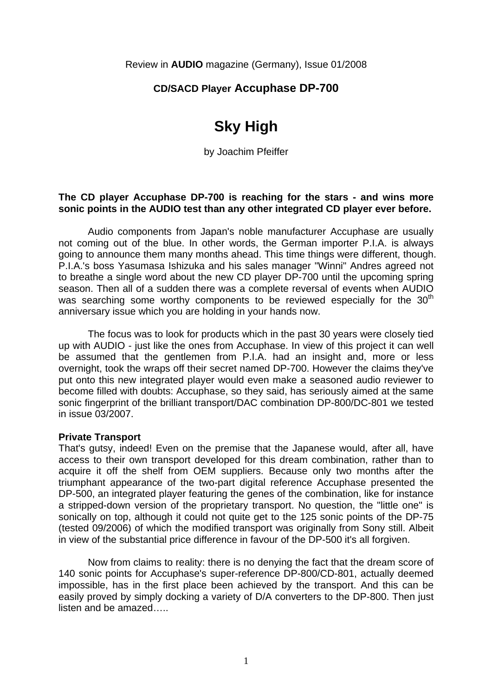Review in **AUDIO** magazine (Germany), Issue 01/2008

# **CD/SACD Player Accuphase DP-700**

# **Sky High**

by Joachim Pfeiffer

# **The CD player Accuphase DP-700 is reaching for the stars - and wins more sonic points in the AUDIO test than any other integrated CD player ever before.**

 Audio components from Japan's noble manufacturer Accuphase are usually not coming out of the blue. In other words, the German importer P.I.A. is always going to announce them many months ahead. This time things were different, though. P.I.A.'s boss Yasumasa Ishizuka and his sales manager "Winni" Andres agreed not to breathe a single word about the new CD player DP-700 until the upcoming spring season. Then all of a sudden there was a complete reversal of events when AUDIO was searching some worthy components to be reviewed especially for the 30<sup>th</sup> anniversary issue which you are holding in your hands now.

 The focus was to look for products which in the past 30 years were closely tied up with AUDIO - just like the ones from Accuphase. In view of this project it can well be assumed that the gentlemen from P.I.A. had an insight and, more or less overnight, took the wraps off their secret named DP-700. However the claims they've put onto this new integrated player would even make a seasoned audio reviewer to become filled with doubts: Accuphase, so they said, has seriously aimed at the same sonic fingerprint of the brilliant transport/DAC combination DP-800/DC-801 we tested in issue 03/2007.

#### **Private Transport**

That's gutsy, indeed! Even on the premise that the Japanese would, after all, have access to their own transport developed for this dream combination, rather than to acquire it off the shelf from OEM suppliers. Because only two months after the triumphant appearance of the two-part digital reference Accuphase presented the DP-500, an integrated player featuring the genes of the combination, like for instance a stripped-down version of the proprietary transport. No question, the "little one" is sonically on top, although it could not quite get to the 125 sonic points of the DP-75 (tested 09/2006) of which the modified transport was originally from Sony still. Albeit in view of the substantial price difference in favour of the DP-500 it's all forgiven.

 Now from claims to reality: there is no denying the fact that the dream score of 140 sonic points for Accuphase's super-reference DP-800/CD-801, actually deemed impossible, has in the first place been achieved by the transport. And this can be easily proved by simply docking a variety of D/A converters to the DP-800. Then just listen and be amazed…..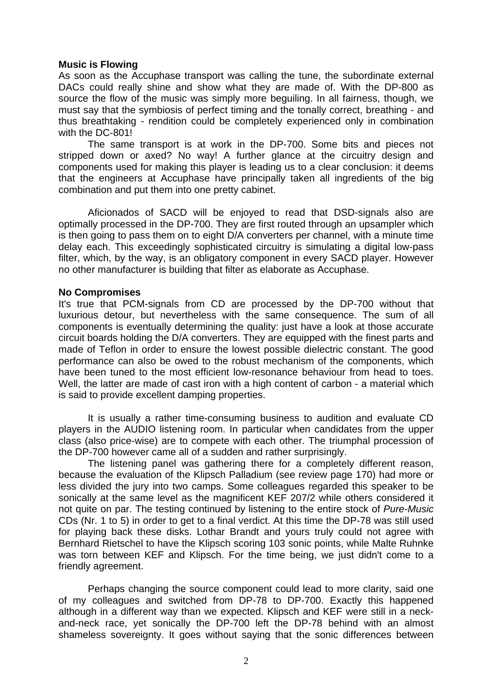# **Music is Flowing**

As soon as the Accuphase transport was calling the tune, the subordinate external DACs could really shine and show what they are made of. With the DP-800 as source the flow of the music was simply more beguiling. In all fairness, though, we must say that the symbiosis of perfect timing and the tonally correct, breathing - and thus breathtaking - rendition could be completely experienced only in combination with the DC-801!

 The same transport is at work in the DP-700. Some bits and pieces not stripped down or axed? No way! A further glance at the circuitry design and components used for making this player is leading us to a clear conclusion: it deems that the engineers at Accuphase have principally taken all ingredients of the big combination and put them into one pretty cabinet.

 Aficionados of SACD will be enjoyed to read that DSD-signals also are optimally processed in the DP-700. They are first routed through an upsampler which is then going to pass them on to eight D/A converters per channel, with a minute time delay each. This exceedingly sophisticated circuitry is simulating a digital low-pass filter, which, by the way, is an obligatory component in every SACD player. However no other manufacturer is building that filter as elaborate as Accuphase.

# **No Compromises**

It's true that PCM-signals from CD are processed by the DP-700 without that luxurious detour, but nevertheless with the same consequence. The sum of all components is eventually determining the quality: just have a look at those accurate circuit boards holding the D/A converters. They are equipped with the finest parts and made of Teflon in order to ensure the lowest possible dielectric constant. The good performance can also be owed to the robust mechanism of the components, which have been tuned to the most efficient low-resonance behaviour from head to toes. Well, the latter are made of cast iron with a high content of carbon - a material which is said to provide excellent damping properties.

 It is usually a rather time-consuming business to audition and evaluate CD players in the AUDIO listening room. In particular when candidates from the upper class (also price-wise) are to compete with each other. The triumphal procession of the DP-700 however came all of a sudden and rather surprisingly.

 The listening panel was gathering there for a completely different reason, because the evaluation of the Klipsch Palladium (see review page 170) had more or less divided the jury into two camps. Some colleagues regarded this speaker to be sonically at the same level as the magnificent KEF 207/2 while others considered it not quite on par. The testing continued by listening to the entire stock of *Pure-Music* CDs (Nr. 1 to 5) in order to get to a final verdict. At this time the DP-78 was still used for playing back these disks. Lothar Brandt and yours truly could not agree with Bernhard Rietschel to have the Klipsch scoring 103 sonic points, while Malte Ruhnke was torn between KEF and Klipsch. For the time being, we just didn't come to a friendly agreement.

 Perhaps changing the source component could lead to more clarity, said one of my colleagues and switched from DP-78 to DP-700. Exactly this happened although in a different way than we expected. Klipsch and KEF were still in a neckand-neck race, yet sonically the DP-700 left the DP-78 behind with an almost shameless sovereignty. It goes without saying that the sonic differences between